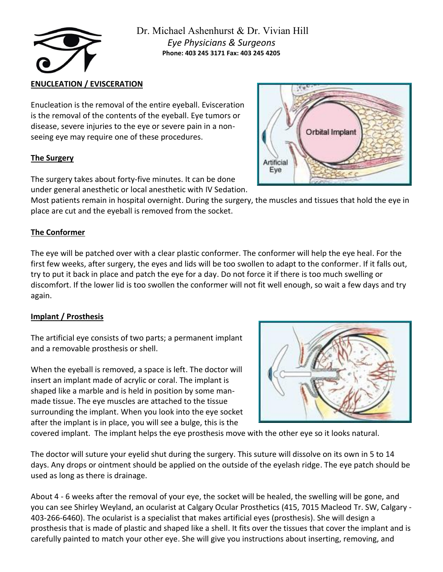

# **ENUCLEATION / EVISCERATION**

Enucleation is the removal of the entire eyeball. Evisceration is the removal of the contents of the eyeball. Eye tumors or disease, severe injuries to the eye or severe pain in a nonseeing eye may require one of these procedures.

### **The Surgery**

The surgery takes about forty-five minutes. It can be done under general anesthetic or local anesthetic with IV Sedation.

Most patients remain in hospital overnight. During the surgery, the muscles and tissues that hold the eye in place are cut and the eyeball is removed from the socket.

# **The Conformer**

The eye will be patched over with a clear plastic conformer. The conformer will help the eye heal. For the first few weeks, after surgery, the eyes and lids will be too swollen to adapt to the conformer. If it falls out, try to put it back in place and patch the eye for a day. Do not force it if there is too much swelling or discomfort. If the lower lid is too swollen the conformer will not fit well enough, so wait a few days and try again.

### **Implant / Prosthesis**

The artificial eye consists of two parts; a permanent implant and a removable prosthesis or shell.

When the eyeball is removed, a space is left. The doctor will insert an implant made of acrylic or coral. The implant is shaped like a marble and is held in position by some manmade tissue. The eye muscles are attached to the tissue surrounding the implant. When you look into the eye socket after the implant is in place, you will see a bulge, this is the



covered implant. The implant helps the eye prosthesis move with the other eye so it looks natural.

The doctor will suture your eyelid shut during the surgery. This suture will dissolve on its own in 5 to 14 days. Any drops or ointment should be applied on the outside of the eyelash ridge. The eye patch should be used as long as there is drainage.

About 4 - 6 weeks after the removal of your eye, the socket will be healed, the swelling will be gone, and you can see Shirley Weyland, an ocularist at Calgary Ocular Prosthetics (415, 7015 Macleod Tr. SW, Calgary - 403-266-6460). The ocularist is a specialist that makes artificial eyes (prosthesis). She will design a prosthesis that is made of plastic and shaped like a shell. It fits over the tissues that cover the implant and is carefully painted to match your other eye. She will give you instructions about inserting, removing, and

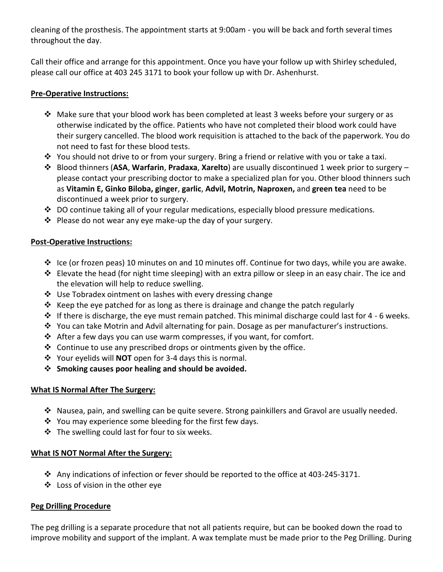cleaning of the prosthesis. The appointment starts at 9:00am - you will be back and forth several times throughout the day.

Call their office and arrange for this appointment. Once you have your follow up with Shirley scheduled, please call our office at 403 245 3171 to book your follow up with Dr. Ashenhurst.

## **Pre-Operative Instructions:**

- ❖ Make sure that your blood work has been completed at least 3 weeks before your surgery or as otherwise indicated by the office. Patients who have not completed their blood work could have their surgery cancelled. The blood work requisition is attached to the back of the paperwork. You do not need to fast for these blood tests.
- ❖ You should not drive to or from your surgery. Bring a friend or relative with you or take a taxi.
- ❖ Blood thinners (**ASA**, **Warfarin**, **Pradaxa**, **Xarelto**) are usually discontinued 1 week prior to surgery please contact your prescribing doctor to make a specialized plan for you. Other blood thinners such as **Vitamin E, Ginko Biloba, ginger**, **garlic**, **Advil, Motrin, Naproxen,** and **green tea** need to be discontinued a week prior to surgery.
- ❖ DO continue taking all of your regular medications, especially blood pressure medications.
- ❖ Please do not wear any eye make-up the day of your surgery.

### **Post-Operative Instructions:**

- ❖ Ice (or frozen peas) 10 minutes on and 10 minutes off. Continue for two days, while you are awake.
- ❖ Elevate the head (for night time sleeping) with an extra pillow or sleep in an easy chair. The ice and the elevation will help to reduce swelling.
- ❖ Use Tobradex ointment on lashes with every dressing change
- $\dots$  Keep the eye patched for as long as there is drainage and change the patch regularly
- $\dots$  If there is discharge, the eye must remain patched. This minimal discharge could last for 4 6 weeks.
- ❖ You can take Motrin and Advil alternating for pain. Dosage as per manufacturer's instructions.
- ❖ After a few days you can use warm compresses, if you want, for comfort.
- ❖ Continue to use any prescribed drops or ointments given by the office.
- ❖ Your eyelids will **NOT** open for 3-4 days this is normal.
- ❖ **Smoking causes poor healing and should be avoided.**

### **What IS Normal After The Surgery:**

- ❖ Nausea, pain, and swelling can be quite severe. Strong painkillers and Gravol are usually needed.
- ❖ You may experience some bleeding for the first few days.
- ❖ The swelling could last for four to six weeks.

### **What IS NOT Normal After the Surgery:**

- ❖ Any indications of infection or fever should be reported to the office at 403-245-3171.
- ❖ Loss of vision in the other eye

# **Peg Drilling Procedure**

The peg drilling is a separate procedure that not all patients require, but can be booked down the road to improve mobility and support of the implant. A wax template must be made prior to the Peg Drilling. During